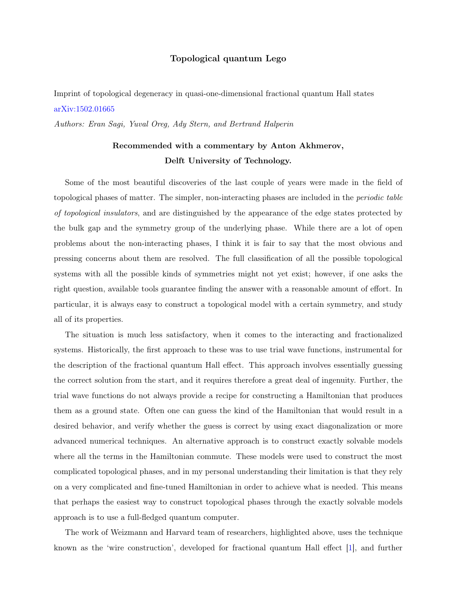## Topological quantum Lego

Imprint of topological degeneracy in quasi-one-dimensional fractional quantum Hall states [arXiv:1502.01665](http://arxiv.org/abs/1502.01665)

Authors: Eran Sagi, Yuval Oreg, Ady Stern, and Bertrand Halperin

## Recommended with a commentary by Anton Akhmerov, Delft University of Technology.

Some of the most beautiful discoveries of the last couple of years were made in the field of topological phases of matter. The simpler, non-interacting phases are included in the periodic table of topological insulators, and are distinguished by the appearance of the edge states protected by the bulk gap and the symmetry group of the underlying phase. While there are a lot of open problems about the non-interacting phases, I think it is fair to say that the most obvious and pressing concerns about them are resolved. The full classification of all the possible topological systems with all the possible kinds of symmetries might not yet exist; however, if one asks the right question, available tools guarantee finding the answer with a reasonable amount of effort. In particular, it is always easy to construct a topological model with a certain symmetry, and study all of its properties.

The situation is much less satisfactory, when it comes to the interacting and fractionalized systems. Historically, the first approach to these was to use trial wave functions, instrumental for the description of the fractional quantum Hall effect. This approach involves essentially guessing the correct solution from the start, and it requires therefore a great deal of ingenuity. Further, the trial wave functions do not always provide a recipe for constructing a Hamiltonian that produces them as a ground state. Often one can guess the kind of the Hamiltonian that would result in a desired behavior, and verify whether the guess is correct by using exact diagonalization or more advanced numerical techniques. An alternative approach is to construct exactly solvable models where all the terms in the Hamiltonian commute. These models were used to construct the most complicated topological phases, and in my personal understanding their limitation is that they rely on a very complicated and fine-tuned Hamiltonian in order to achieve what is needed. This means that perhaps the easiest way to construct topological phases through the exactly solvable models approach is to use a full-fledged quantum computer.

The work of Weizmann and Harvard team of researchers, highlighted above, uses the technique known as the 'wire construction', developed for fractional quantum Hall effect [\[1\]](#page-2-0), and further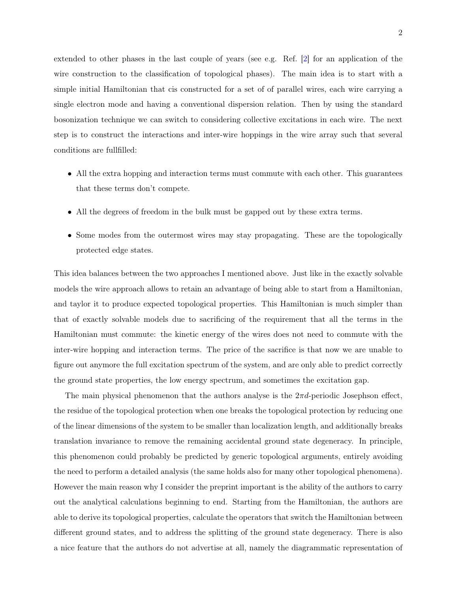extended to other phases in the last couple of years (see e.g. Ref. [\[2\]](#page-2-1) for an application of the wire construction to the classification of topological phases). The main idea is to start with a simple initial Hamiltonian that cis constructed for a set of of parallel wires, each wire carrying a single electron mode and having a conventional dispersion relation. Then by using the standard bosonization technique we can switch to considering collective excitations in each wire. The next step is to construct the interactions and inter-wire hoppings in the wire array such that several conditions are fullfilled:

- All the extra hopping and interaction terms must commute with each other. This guarantees that these terms don't compete.
- All the degrees of freedom in the bulk must be gapped out by these extra terms.
- Some modes from the outermost wires may stay propagating. These are the topologically protected edge states.

This idea balances between the two approaches I mentioned above. Just like in the exactly solvable models the wire approach allows to retain an advantage of being able to start from a Hamiltonian, and taylor it to produce expected topological properties. This Hamiltonian is much simpler than that of exactly solvable models due to sacrificing of the requirement that all the terms in the Hamiltonian must commute: the kinetic energy of the wires does not need to commute with the inter-wire hopping and interaction terms. The price of the sacrifice is that now we are unable to figure out anymore the full excitation spectrum of the system, and are only able to predict correctly the ground state properties, the low energy spectrum, and sometimes the excitation gap.

The main physical phenomenon that the authors analyse is the  $2\pi d$ -periodic Josephson effect, the residue of the topological protection when one breaks the topological protection by reducing one of the linear dimensions of the system to be smaller than localization length, and additionally breaks translation invariance to remove the remaining accidental ground state degeneracy. In principle, this phenomenon could probably be predicted by generic topological arguments, entirely avoiding the need to perform a detailed analysis (the same holds also for many other topological phenomena). However the main reason why I consider the preprint important is the ability of the authors to carry out the analytical calculations beginning to end. Starting from the Hamiltonian, the authors are able to derive its topological properties, calculate the operators that switch the Hamiltonian between different ground states, and to address the splitting of the ground state degeneracy. There is also a nice feature that the authors do not advertise at all, namely the diagrammatic representation of